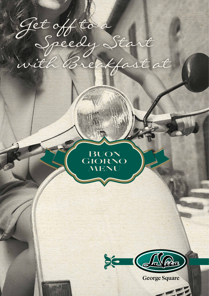